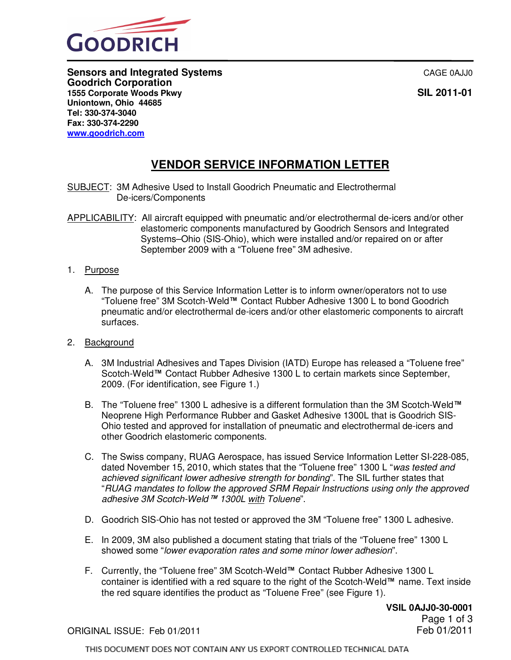

**Sensors and Integrated Systems CAGE 0AJJ0** CAGE 0AJJ0 **Goodrich Corporation 1555 Corporate Woods Pkwy SIL 2011-01 Uniontown, Ohio 44685 Tel: 330-374-3040 Fax: 330-374-2290 www.goodrich.com**

## **VENDOR SERVICE INFORMATION LETTER**

SUBJECT: 3M Adhesive Used to Install Goodrich Pneumatic and Electrothermal De-icers/Components

APPLICABILITY: All aircraft equipped with pneumatic and/or electrothermal de-icers and/or other elastomeric components manufactured by Goodrich Sensors and Integrated Systems–Ohio (SIS-Ohio), which were installed and/or repaired on or after September 2009 with a "Toluene free" 3M adhesive.

- 1. Purpose
	- A. The purpose of this Service Information Letter is to inform owner/operators not to use "Toluene free" 3M Scotch-Weld™ Contact Rubber Adhesive 1300 L to bond Goodrich pneumatic and/or electrothermal de-icers and/or other elastomeric components to aircraft surfaces.
- 2. Background
	- A. 3M Industrial Adhesives and Tapes Division (IATD) Europe has released a "Toluene free" Scotch-Weld™ Contact Rubber Adhesive 1300 L to certain markets since September, 2009. (For identification, see Figure 1.)
	- B. The "Toluene free" 1300 L adhesive is a different formulation than the 3M Scotch-Weld™ Neoprene High Performance Rubber and Gasket Adhesive 1300L that is Goodrich SIS-Ohio tested and approved for installation of pneumatic and electrothermal de-icers and other Goodrich elastomeric components.
	- C. The Swiss company, RUAG Aerospace, has issued Service Information Letter SI-228-085, dated November 15, 2010, which states that the "Toluene free" 1300 L "was tested and achieved significant lower adhesive strength for bonding". The SIL further states that "RUAG mandates to follow the approved SRM Repair Instructions using only the approved adhesive 3M Scotch-Weld™ 1300L with Toluene".
	- D. Goodrich SIS-Ohio has not tested or approved the 3M "Toluene free" 1300 L adhesive.
	- E. In 2009, 3M also published a document stating that trials of the "Toluene free" 1300 L showed some "lower evaporation rates and some minor lower adhesion".
	- F. Currently, the "Toluene free" 3M Scotch-Weld™ Contact Rubber Adhesive 1300 L container is identified with a red square to the right of the Scotch-Weld™ name. Text inside the red square identifies the product as "Toluene Free" (see Figure 1).

**VSIL 0AJJ0-30-0001** Page 1 of 3 Feb 01/2011

ORIGINAL ISSUE: Feb 01/2011

THIS DOCUMENT DOES NOT CONTAIN ANY US EXPORT CONTROLLED TECHNICAL DATA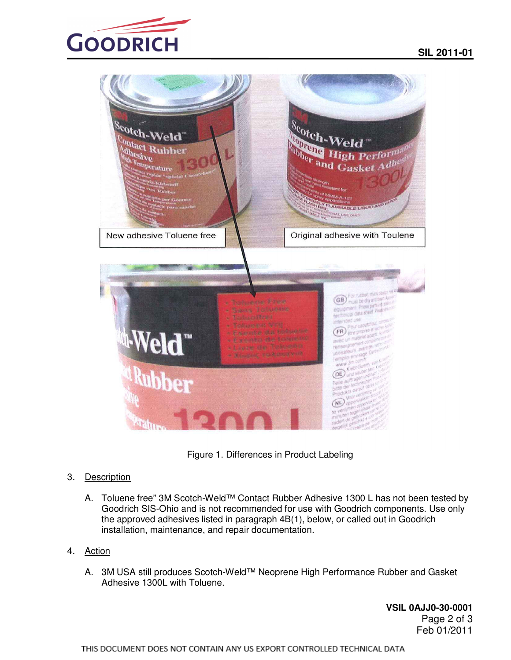





- 3. Description
	- A. Toluene free" 3M Scotch-Weld™ Contact Rubber Adhesive 1300 L has not been tested by Goodrich SIS-Ohio and is not recommended for use with Goodrich components. Use only the approved adhesives listed in paragraph 4B(1), below, or called out in Goodrich installation, maintenance, and repair documentation.
- 4. Action
	- A. 3M USA still produces Scotch-Weld™ Neoprene High Performance Rubber and Gasket Adhesive 1300L with Toluene.

**VSIL 0AJJ0-30-0001** Page 2 of 3 Feb 01/2011